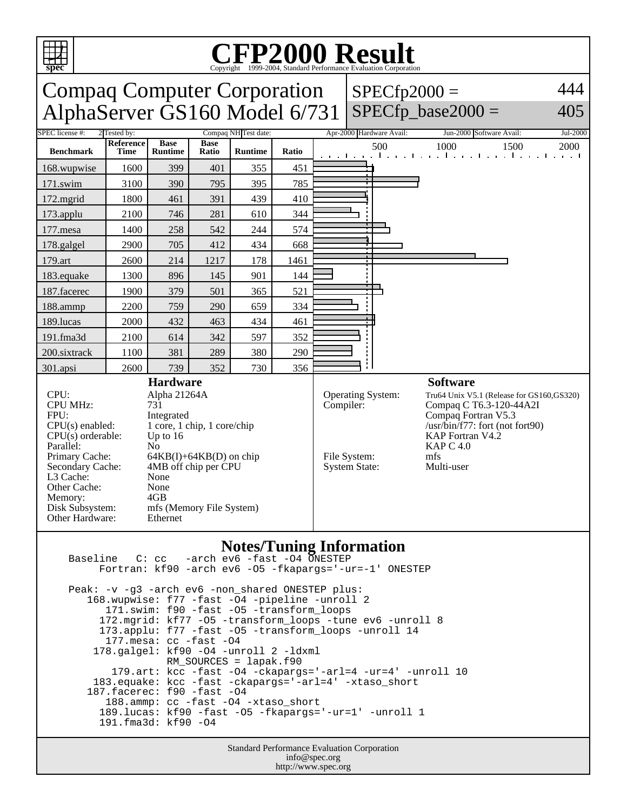

## **CFP2000 Result** Copyright ©1999-2004, Standard Performance Evaluation Corporation

| <b>Compaq Computer Corporation</b><br>AlphaServer GS160 Model 6/731                                                                                                                                                                                                                                                                                                                                                                                     |                   |                               |                      |                |                                                                                                                                    |  | $SPECfp2000 =$                                                                                                                                                      | $SPECfp\_base2000 =$        | 444<br>405 |
|---------------------------------------------------------------------------------------------------------------------------------------------------------------------------------------------------------------------------------------------------------------------------------------------------------------------------------------------------------------------------------------------------------------------------------------------------------|-------------------|-------------------------------|----------------------|----------------|------------------------------------------------------------------------------------------------------------------------------------|--|---------------------------------------------------------------------------------------------------------------------------------------------------------------------|-----------------------------|------------|
| SPEC license #:<br>2 Tested by:                                                                                                                                                                                                                                                                                                                                                                                                                         |                   |                               | Compaq NH Test date: |                |                                                                                                                                    |  | Apr-2000 Hardware Avail:                                                                                                                                            | Jun-2000 Software Avail:    | Jul-2000   |
| <b>Benchmark</b>                                                                                                                                                                                                                                                                                                                                                                                                                                        | Reference<br>Time | <b>Base</b><br><b>Runtime</b> | <b>Base</b><br>Ratio | <b>Runtime</b> | Ratio                                                                                                                              |  | 500<br>the contract of the con-                                                                                                                                     | 1000<br>1500<br>1 1 1 1 1 1 | 2000       |
| 168.wupwise                                                                                                                                                                                                                                                                                                                                                                                                                                             | 1600              | 399                           | 401                  | 355            | 451                                                                                                                                |  |                                                                                                                                                                     |                             |            |
| $171$ .swim                                                                                                                                                                                                                                                                                                                                                                                                                                             | 3100              | 390                           | 795                  | 395            | 785                                                                                                                                |  |                                                                                                                                                                     |                             |            |
| 172.mgrid                                                                                                                                                                                                                                                                                                                                                                                                                                               | 1800              | 461                           | 391                  | 439            | 410                                                                                                                                |  |                                                                                                                                                                     |                             |            |
| 173.applu                                                                                                                                                                                                                                                                                                                                                                                                                                               | 2100              | 746                           | 281                  | 610            | 344                                                                                                                                |  |                                                                                                                                                                     |                             |            |
| 177.mesa                                                                                                                                                                                                                                                                                                                                                                                                                                                | 1400              | 258                           | 542                  | 244            | 574                                                                                                                                |  |                                                                                                                                                                     |                             |            |
| 178.galgel                                                                                                                                                                                                                                                                                                                                                                                                                                              | 2900              | 705                           | 412                  | 434            | 668                                                                                                                                |  |                                                                                                                                                                     |                             |            |
| 179.art                                                                                                                                                                                                                                                                                                                                                                                                                                                 | 2600              | 214                           | 1217                 | 178            | 1461                                                                                                                               |  |                                                                                                                                                                     |                             |            |
| 183.equake                                                                                                                                                                                                                                                                                                                                                                                                                                              | 1300              | 896                           | 145                  | 901            | 144                                                                                                                                |  |                                                                                                                                                                     |                             |            |
| 187.facerec                                                                                                                                                                                                                                                                                                                                                                                                                                             | 1900              | 379                           | 501                  | 365            | 521                                                                                                                                |  |                                                                                                                                                                     |                             |            |
| 188.ammp                                                                                                                                                                                                                                                                                                                                                                                                                                                | 2200              | 759                           | 290                  | 659            | 334                                                                                                                                |  |                                                                                                                                                                     |                             |            |
| 189.lucas                                                                                                                                                                                                                                                                                                                                                                                                                                               | 2000              | 432                           | 463                  | 434            | 461                                                                                                                                |  |                                                                                                                                                                     |                             |            |
| 191.fma3d                                                                                                                                                                                                                                                                                                                                                                                                                                               | 2100              | 614                           | 342                  | 597            | 352                                                                                                                                |  |                                                                                                                                                                     |                             |            |
| 200.sixtrack                                                                                                                                                                                                                                                                                                                                                                                                                                            | 1100              | 381                           | 289                  | 380            | 290                                                                                                                                |  |                                                                                                                                                                     |                             |            |
| 301.apsi                                                                                                                                                                                                                                                                                                                                                                                                                                                | 2600              | 739                           | 352                  | 730            | 356                                                                                                                                |  |                                                                                                                                                                     |                             |            |
| <b>Hardware</b><br>CPU:<br>Alpha 21264A<br><b>CPU MHz:</b><br>731<br>FPU:<br>Integrated<br>$CPU(s)$ enabled:<br>1 core, 1 chip, 1 core/chip<br>CPU(s) orderable:<br>Up to $16$<br>Parallel:<br>N <sub>0</sub><br>Primary Cache:<br>$64KB(I) + 64KB(D)$ on chip<br>4MB off chip per CPU<br>Secondary Cache:<br>L3 Cache:<br>None<br>Other Cache:<br>None<br>4GB<br>Memory:<br>Disk Subsystem:<br>mfs (Memory File System)<br>Other Hardware:<br>Ethernet |                   |                               |                      |                | <b>Software</b><br>Operating System:<br>Compiler:<br><b>KAP C 4.0</b><br>File System:<br>mfs<br><b>System State:</b><br>Multi-user |  | Tru64 Unix V5.1 (Release for GS160, GS320)<br>Compaq C T6.3-120-44A2I<br>Compaq Fortran V5.3<br>$\sqrt{\text{usr/bin}/f77}$ : fort (not fort90)<br>KAP Fortran V4.2 |                             |            |

## **Notes/Tuning Information** Baseline C: cc -arch ev6 -fast -O4 ONESTEP

 Fortran: kf90 -arch ev6 -O5 -fkapargs='-ur=-1' ONESTEP Peak: -v -g3 -arch ev6 -non\_shared ONESTEP plus: 168.wupwise: f77 -fast -O4 -pipeline -unroll 2 171.swim: f90 -fast -O5 -transform\_loops 172.mgrid: kf77 -O5 -transform\_loops -tune ev6 -unroll 8 173.applu: f77 -fast -O5 -transform\_loops -unroll 14 177.mesa: cc -fast -O4 178.galgel: kf90 -O4 -unroll 2 -ldxml RM\_SOURCES = lapak.f90 179.art: kcc -fast -O4 -ckapargs='-arl=4 -ur=4' -unroll 10 183.equake: kcc -fast -ckapargs='-arl=4' -xtaso\_short 187.facerec: f90 -fast -O4 188.ammp: cc -fast -O4 -xtaso\_short 189.lucas: kf90 -fast -O5 -fkapargs='-ur=1' -unroll 1 191.fma3d: kf90 -O4

> Standard Performance Evaluation Corporation info@spec.org http://www.spec.org